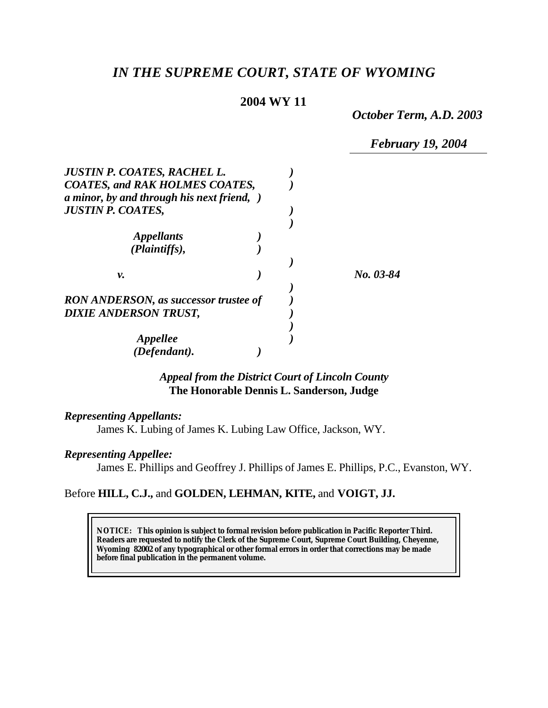# *IN THE SUPREME COURT, STATE OF WYOMING*

# **2004 WY 11**

*October Term, A.D. 2003*

*February 19, 2004*

| <b>JUSTIN P. COATES, RACHEL L.</b><br><b>COATES, and RAK HOLMES COATES,</b><br>a minor, by and through his next friend, ) |           |
|---------------------------------------------------------------------------------------------------------------------------|-----------|
| <b>JUSTIN P. COATES,</b>                                                                                                  |           |
|                                                                                                                           |           |
| <b>Appellants</b>                                                                                                         |           |
| (Plaintiffs),                                                                                                             |           |
|                                                                                                                           |           |
| ν.                                                                                                                        | No. 03-84 |
|                                                                                                                           |           |
| <b>RON ANDERSON, as successor trustee of</b>                                                                              |           |
| <b>DIXIE ANDERSON TRUST,</b>                                                                                              |           |
|                                                                                                                           |           |
| <b>Appellee</b>                                                                                                           |           |
| (Defendant).                                                                                                              |           |

## *Appeal from the District Court of Lincoln County* **The Honorable Dennis L. Sanderson, Judge**

### *Representing Appellants:*

James K. Lubing of James K. Lubing Law Office, Jackson, WY.

#### *Representing Appellee:*

James E. Phillips and Geoffrey J. Phillips of James E. Phillips, P.C., Evanston, WY.

## Before **HILL, C.J.,** and **GOLDEN, LEHMAN, KITE,** and **VOIGT, JJ.**

**NOTICE:** *This opinion is subject to formal revision before publication in Pacific Reporter Third. Readers are requested to notify the Clerk of the Supreme Court, Supreme Court Building, Cheyenne, Wyoming 82002 of any typographical or other formal errors in order that corrections may be made before final publication in the permanent volume.*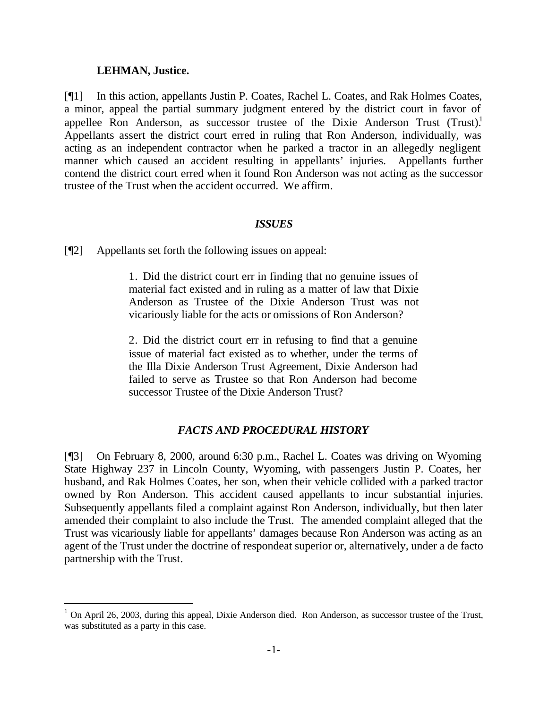#### **LEHMAN, Justice.**

l

[¶1] In this action, appellants Justin P. Coates, Rachel L. Coates, and Rak Holmes Coates, a minor, appeal the partial summary judgment entered by the district court in favor of appellee Ron Anderson, as successor trustee of the Dixie Anderson Trust (Trust).<sup>1</sup> Appellants assert the district court erred in ruling that Ron Anderson, individually, was acting as an independent contractor when he parked a tractor in an allegedly negligent manner which caused an accident resulting in appellants' injuries. Appellants further contend the district court erred when it found Ron Anderson was not acting as the successor trustee of the Trust when the accident occurred. We affirm.

### *ISSUES*

[¶2] Appellants set forth the following issues on appeal:

1. Did the district court err in finding that no genuine issues of material fact existed and in ruling as a matter of law that Dixie Anderson as Trustee of the Dixie Anderson Trust was not vicariously liable for the acts or omissions of Ron Anderson?

2. Did the district court err in refusing to find that a genuine issue of material fact existed as to whether, under the terms of the Illa Dixie Anderson Trust Agreement, Dixie Anderson had failed to serve as Trustee so that Ron Anderson had become successor Trustee of the Dixie Anderson Trust?

### *FACTS AND PROCEDURAL HISTORY*

[¶3] On February 8, 2000, around 6:30 p.m., Rachel L. Coates was driving on Wyoming State Highway 237 in Lincoln County, Wyoming, with passengers Justin P. Coates, her husband, and Rak Holmes Coates, her son, when their vehicle collided with a parked tractor owned by Ron Anderson. This accident caused appellants to incur substantial injuries. Subsequently appellants filed a complaint against Ron Anderson, individually, but then later amended their complaint to also include the Trust. The amended complaint alleged that the Trust was vicariously liable for appellants' damages because Ron Anderson was acting as an agent of the Trust under the doctrine of respondeat superior or, alternatively, under a de facto partnership with the Trust.

<sup>&</sup>lt;sup>1</sup> On April 26, 2003, during this appeal, Dixie Anderson died. Ron Anderson, as successor trustee of the Trust, was substituted as a party in this case.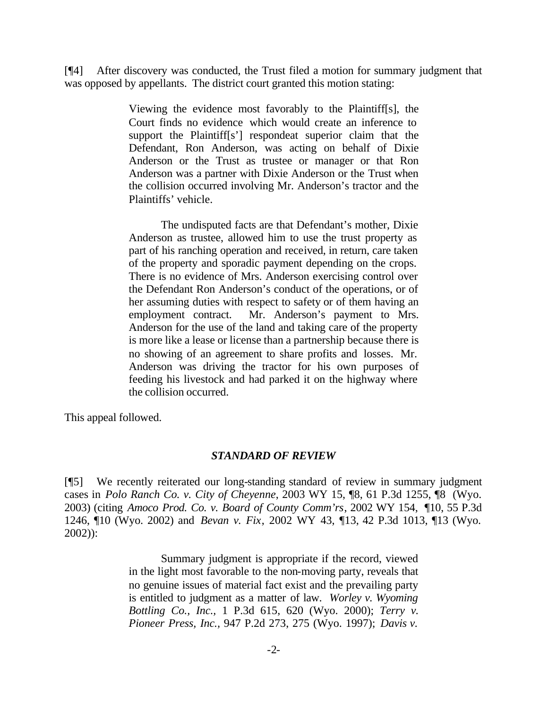[¶4] After discovery was conducted, the Trust filed a motion for summary judgment that was opposed by appellants. The district court granted this motion stating:

> Viewing the evidence most favorably to the Plaintiff[s], the Court finds no evidence which would create an inference to support the Plaintiff[s'] respondeat superior claim that the Defendant, Ron Anderson, was acting on behalf of Dixie Anderson or the Trust as trustee or manager or that Ron Anderson was a partner with Dixie Anderson or the Trust when the collision occurred involving Mr. Anderson's tractor and the Plaintiffs' vehicle.

> The undisputed facts are that Defendant's mother, Dixie Anderson as trustee, allowed him to use the trust property as part of his ranching operation and received, in return, care taken of the property and sporadic payment depending on the crops. There is no evidence of Mrs. Anderson exercising control over the Defendant Ron Anderson's conduct of the operations, or of her assuming duties with respect to safety or of them having an employment contract. Mr. Anderson's payment to Mrs. Anderson for the use of the land and taking care of the property is more like a lease or license than a partnership because there is no showing of an agreement to share profits and losses. Mr. Anderson was driving the tractor for his own purposes of feeding his livestock and had parked it on the highway where the collision occurred.

This appeal followed.

#### *STANDARD OF REVIEW*

[¶5] We recently reiterated our long-standing standard of review in summary judgment cases in *Polo Ranch Co. v. City of Cheyenne*, 2003 WY 15, ¶8, 61 P.3d 1255, ¶8 (Wyo. 2003) (citing *Amoco Prod. Co. v. Board of County Comm'rs*, 2002 WY 154, ¶10, 55 P.3d 1246, ¶10 (Wyo. 2002) and *Bevan v. Fix*, 2002 WY 43, ¶13, 42 P.3d 1013, ¶13 (Wyo. 2002)):

> Summary judgment is appropriate if the record, viewed in the light most favorable to the non-moving party, reveals that no genuine issues of material fact exist and the prevailing party is entitled to judgment as a matter of law. *Worley v. Wyoming Bottling Co., Inc.,* 1 P.3d 615, 620 (Wyo. 2000); *Terry v. Pioneer Press, Inc.,* 947 P.2d 273, 275 (Wyo. 1997); *Davis v.*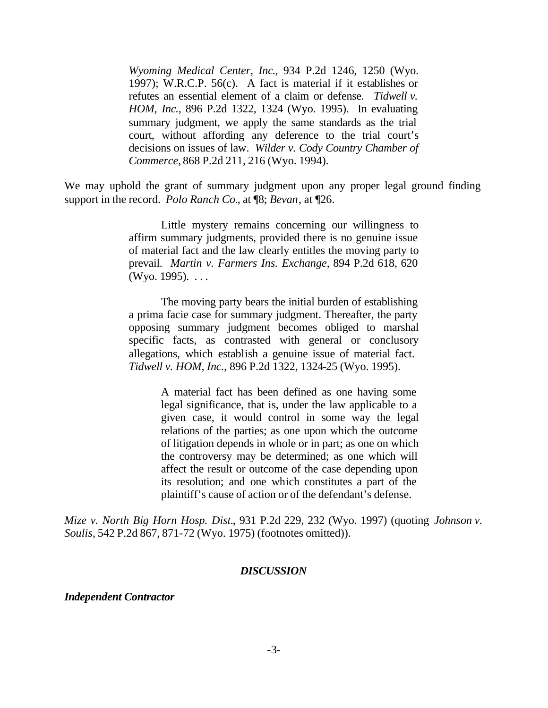*Wyoming Medical Center, Inc*., 934 P.2d 1246, 1250 (Wyo. 1997); W.R.C.P. 56(c). A fact is material if it establishes or refutes an essential element of a claim or defense. *Tidwell v. HOM, Inc.*, 896 P.2d 1322, 1324 (Wyo. 1995). In evaluating summary judgment, we apply the same standards as the trial court, without affording any deference to the trial court's decisions on issues of law. *Wilder v. Cody Country Chamber of Commerce,* 868 P.2d 211, 216 (Wyo. 1994).

We may uphold the grant of summary judgment upon any proper legal ground finding support in the record. *Polo Ranch Co.*, at ¶8; *Bevan*, at ¶26.

> Little mystery remains concerning our willingness to affirm summary judgments, provided there is no genuine issue of material fact and the law clearly entitles the moving party to prevail. *Martin v. Farmers Ins. Exchange*, 894 P.2d 618, 620 (Wyo. 1995).  $\dots$

> The moving party bears the initial burden of establishing a prima facie case for summary judgment. Thereafter, the party opposing summary judgment becomes obliged to marshal specific facts, as contrasted with general or conclusory allegations, which establish a genuine issue of material fact. *Tidwell v. HOM, Inc.*, 896 P.2d 1322, 1324-25 (Wyo. 1995).

> > A material fact has been defined as one having some legal significance, that is, under the law applicable to a given case, it would control in some way the legal relations of the parties; as one upon which the outcome of litigation depends in whole or in part; as one on which the controversy may be determined; as one which will affect the result or outcome of the case depending upon its resolution; and one which constitutes a part of the plaintiff's cause of action or of the defendant's defense.

*Mize v. North Big Horn Hosp. Dist.*, 931 P.2d 229, 232 (Wyo. 1997) (quoting *Johnson v. Soulis*, 542 P.2d 867, 871-72 (Wyo. 1975) (footnotes omitted)).

#### *DISCUSSION*

#### *Independent Contractor*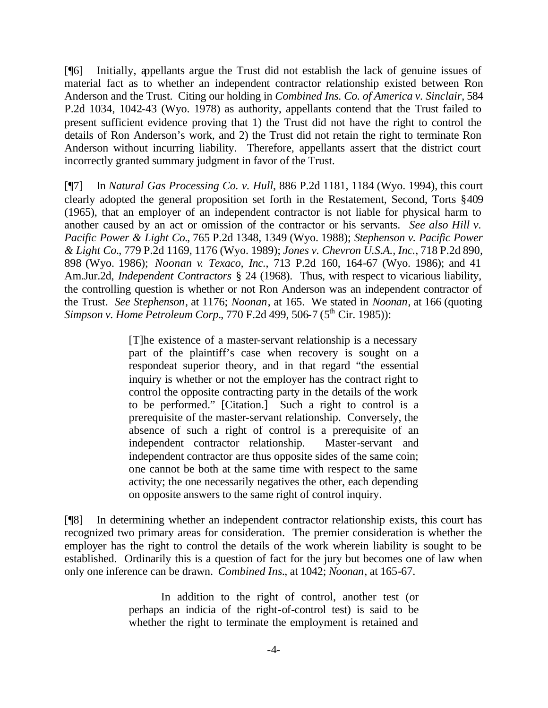[¶6] Initially, appellants argue the Trust did not establish the lack of genuine issues of material fact as to whether an independent contractor relationship existed between Ron Anderson and the Trust. Citing our holding in *Combined Ins. Co. of America v. Sinclair*, 584 P.2d 1034, 1042-43 (Wyo. 1978) as authority, appellants contend that the Trust failed to present sufficient evidence proving that 1) the Trust did not have the right to control the details of Ron Anderson's work, and 2) the Trust did not retain the right to terminate Ron Anderson without incurring liability. Therefore, appellants assert that the district court incorrectly granted summary judgment in favor of the Trust.

[¶7] In *Natural Gas Processing Co. v. Hull*, 886 P.2d 1181, 1184 (Wyo. 1994), this court clearly adopted the general proposition set forth in the Restatement, Second, Torts §409 (1965), that an employer of an independent contractor is not liable for physical harm to another caused by an act or omission of the contractor or his servants. *See also Hill v. Pacific Power & Light Co.*, 765 P.2d 1348, 1349 (Wyo. 1988); *Stephenson v. Pacific Power & Light Co.*, 779 P.2d 1169, 1176 (Wyo. 1989); *Jones v. Chevron U.S.A., Inc.*, 718 P.2d 890, 898 (Wyo. 1986); *Noonan v. Texaco, Inc.*, 713 P.2d 160, 164-67 (Wyo. 1986); and 41 Am.Jur.2d, *Independent Contractors* § 24 (1968). Thus, with respect to vicarious liability, the controlling question is whether or not Ron Anderson was an independent contractor of the Trust. *See Stephenson*, at 1176; *Noonan*, at 165. We stated in *Noonan*, at 166 (quoting Simpson v. Home Petroleum Corp., 770 F.2d 499, 506-7 (5<sup>th</sup> Cir. 1985)):

> [T]he existence of a master-servant relationship is a necessary part of the plaintiff's case when recovery is sought on a respondeat superior theory, and in that regard "the essential inquiry is whether or not the employer has the contract right to control the opposite contracting party in the details of the work to be performed." [Citation.] Such a right to control is a prerequisite of the master-servant relationship. Conversely, the absence of such a right of control is a prerequisite of an independent contractor relationship. Master-servant and independent contractor are thus opposite sides of the same coin; one cannot be both at the same time with respect to the same activity; the one necessarily negatives the other, each depending on opposite answers to the same right of control inquiry.

[¶8] In determining whether an independent contractor relationship exists, this court has recognized two primary areas for consideration. The premier consideration is whether the employer has the right to control the details of the work wherein liability is sought to be established. Ordinarily this is a question of fact for the jury but becomes one of law when only one inference can be drawn. *Combined Ins.*, at 1042; *Noonan*, at 165-67.

> In addition to the right of control, another test (or perhaps an indicia of the right-of-control test) is said to be whether the right to terminate the employment is retained and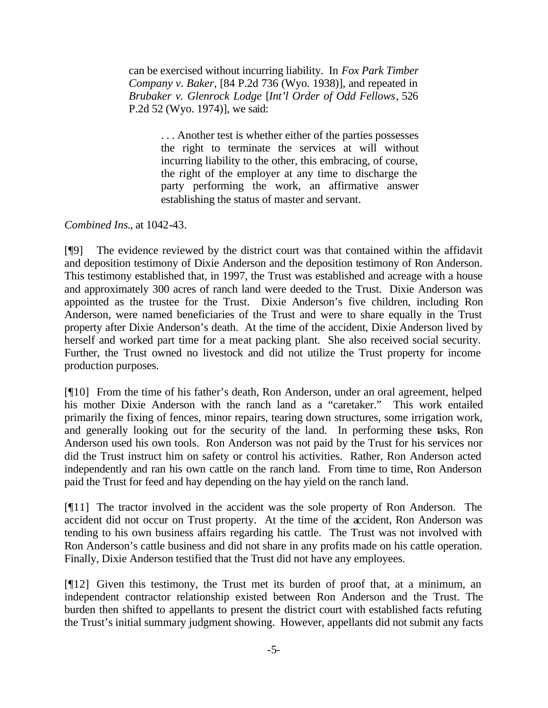can be exercised without incurring liability. In *Fox Park Timber Company v. Baker*, [84 P.2d 736 (Wyo. 1938)], and repeated in *Brubaker v. Glenrock Lodge* [*Int'l Order of Odd Fellows*, 526 P.2d 52 (Wyo. 1974)], we said:

> . . . Another test is whether either of the parties possesses the right to terminate the services at will without incurring liability to the other, this embracing, of course, the right of the employer at any time to discharge the party performing the work, an affirmative answer establishing the status of master and servant.

*Combined Ins.*, at 1042-43.

[¶9] The evidence reviewed by the district court was that contained within the affidavit and deposition testimony of Dixie Anderson and the deposition testimony of Ron Anderson. This testimony established that, in 1997, the Trust was established and acreage with a house and approximately 300 acres of ranch land were deeded to the Trust. Dixie Anderson was appointed as the trustee for the Trust. Dixie Anderson's five children, including Ron Anderson, were named beneficiaries of the Trust and were to share equally in the Trust property after Dixie Anderson's death. At the time of the accident, Dixie Anderson lived by herself and worked part time for a meat packing plant. She also received social security. Further, the Trust owned no livestock and did not utilize the Trust property for income production purposes.

[¶10] From the time of his father's death, Ron Anderson, under an oral agreement, helped his mother Dixie Anderson with the ranch land as a "caretaker." This work entailed primarily the fixing of fences, minor repairs, tearing down structures, some irrigation work, and generally looking out for the security of the land. In performing these tasks, Ron Anderson used his own tools. Ron Anderson was not paid by the Trust for his services nor did the Trust instruct him on safety or control his activities. Rather, Ron Anderson acted independently and ran his own cattle on the ranch land. From time to time, Ron Anderson paid the Trust for feed and hay depending on the hay yield on the ranch land.

[¶11] The tractor involved in the accident was the sole property of Ron Anderson. The accident did not occur on Trust property. At the time of the accident, Ron Anderson was tending to his own business affairs regarding his cattle. The Trust was not involved with Ron Anderson's cattle business and did not share in any profits made on his cattle operation. Finally, Dixie Anderson testified that the Trust did not have any employees.

[¶12] Given this testimony, the Trust met its burden of proof that, at a minimum, an independent contractor relationship existed between Ron Anderson and the Trust. The burden then shifted to appellants to present the district court with established facts refuting the Trust's initial summary judgment showing. However, appellants did not submit any facts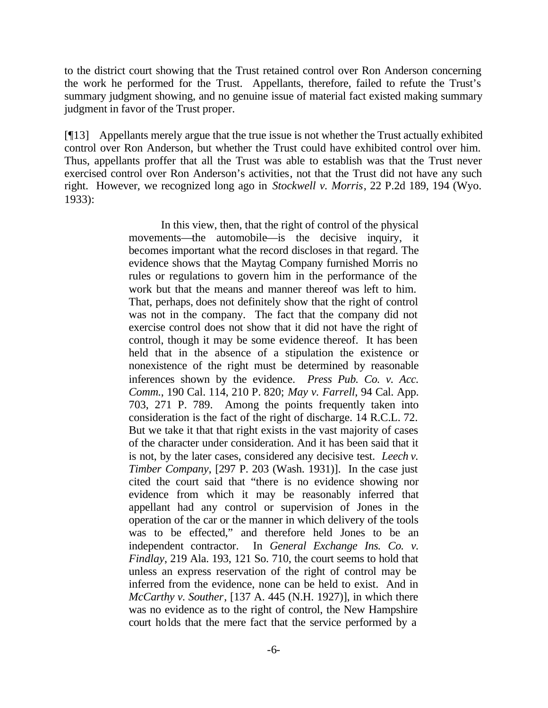to the district court showing that the Trust retained control over Ron Anderson concerning the work he performed for the Trust. Appellants, therefore, failed to refute the Trust's summary judgment showing, and no genuine issue of material fact existed making summary judgment in favor of the Trust proper.

[¶13] Appellants merely argue that the true issue is not whether the Trust actually exhibited control over Ron Anderson, but whether the Trust could have exhibited control over him. Thus, appellants proffer that all the Trust was able to establish was that the Trust never exercised control over Ron Anderson's activities, not that the Trust did not have any such right. However, we recognized long ago in *Stockwell v. Morris*, 22 P.2d 189, 194 (Wyo. 1933):

> In this view, then, that the right of control of the physical movements—the automobile—is the decisive inquiry, it becomes important what the record discloses in that regard. The evidence shows that the Maytag Company furnished Morris no rules or regulations to govern him in the performance of the work but that the means and manner thereof was left to him. That, perhaps, does not definitely show that the right of control was not in the company. The fact that the company did not exercise control does not show that it did not have the right of control, though it may be some evidence thereof. It has been held that in the absence of a stipulation the existence or nonexistence of the right must be determined by reasonable inferences shown by the evidence. *Press Pub. Co. v. Acc. Comm.*, 190 Cal. 114, 210 P. 820; *May v. Farrell*, 94 Cal. App. 703, 271 P. 789. Among the points frequently taken into consideration is the fact of the right of discharge. 14 R.C.L. 72. But we take it that that right exists in the vast majority of cases of the character under consideration. And it has been said that it is not, by the later cases, considered any decisive test. *Leech v. Timber Company*, [297 P. 203 (Wash. 1931)]. In the case just cited the court said that "there is no evidence showing nor evidence from which it may be reasonably inferred that appellant had any control or supervision of Jones in the operation of the car or the manner in which delivery of the tools was to be effected," and therefore held Jones to be an independent contractor. In *General Exchange Ins. Co. v. Findlay*, 219 Ala. 193, 121 So. 710, the court seems to hold that unless an express reservation of the right of control may be inferred from the evidence, none can be held to exist. And in *McCarthy v. Souther*, [137 A. 445 (N.H. 1927)], in which there was no evidence as to the right of control, the New Hampshire court holds that the mere fact that the service performed by a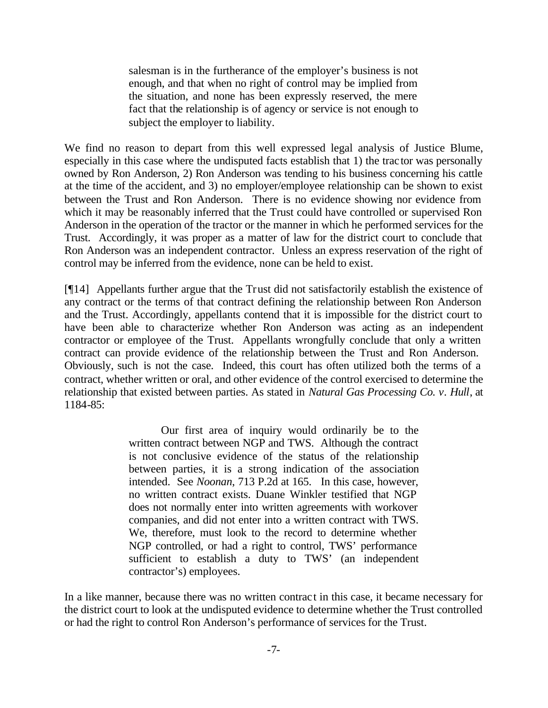salesman is in the furtherance of the employer's business is not enough, and that when no right of control may be implied from the situation, and none has been expressly reserved, the mere fact that the relationship is of agency or service is not enough to subject the employer to liability.

We find no reason to depart from this well expressed legal analysis of Justice Blume, especially in this case where the undisputed facts establish that 1) the tractor was personally owned by Ron Anderson, 2) Ron Anderson was tending to his business concerning his cattle at the time of the accident, and 3) no employer/employee relationship can be shown to exist between the Trust and Ron Anderson. There is no evidence showing nor evidence from which it may be reasonably inferred that the Trust could have controlled or supervised Ron Anderson in the operation of the tractor or the manner in which he performed services for the Trust. Accordingly, it was proper as a matter of law for the district court to conclude that Ron Anderson was an independent contractor. Unless an express reservation of the right of control may be inferred from the evidence, none can be held to exist.

[¶14] Appellants further argue that the Trust did not satisfactorily establish the existence of any contract or the terms of that contract defining the relationship between Ron Anderson and the Trust. Accordingly, appellants contend that it is impossible for the district court to have been able to characterize whether Ron Anderson was acting as an independent contractor or employee of the Trust. Appellants wrongfully conclude that only a written contract can provide evidence of the relationship between the Trust and Ron Anderson. Obviously, such is not the case. Indeed, this court has often utilized both the terms of a contract, whether written or oral, and other evidence of the control exercised to determine the relationship that existed between parties. As stated in *Natural Gas Processing Co. v. Hull*, at 1184-85:

> Our first area of inquiry would ordinarily be to the written contract between NGP and TWS. Although the contract is not conclusive evidence of the status of the relationship between parties, it is a strong indication of the association intended. See *Noonan*, 713 P.2d at 165. In this case, however, no written contract exists. Duane Winkler testified that NGP does not normally enter into written agreements with workover companies, and did not enter into a written contract with TWS. We, therefore, must look to the record to determine whether NGP controlled, or had a right to control, TWS' performance sufficient to establish a duty to TWS' (an independent contractor's) employees.

In a like manner, because there was no written contract in this case, it became necessary for the district court to look at the undisputed evidence to determine whether the Trust controlled or had the right to control Ron Anderson's performance of services for the Trust.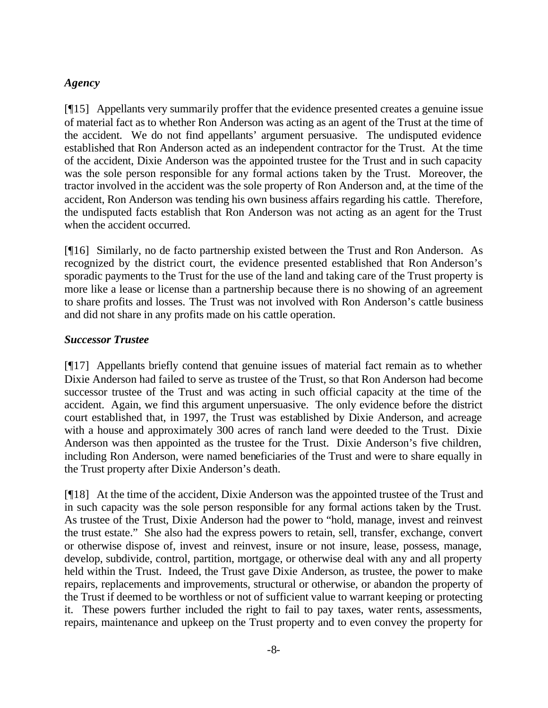# *Agency*

[¶15] Appellants very summarily proffer that the evidence presented creates a genuine issue of material fact as to whether Ron Anderson was acting as an agent of the Trust at the time of the accident. We do not find appellants' argument persuasive. The undisputed evidence established that Ron Anderson acted as an independent contractor for the Trust. At the time of the accident, Dixie Anderson was the appointed trustee for the Trust and in such capacity was the sole person responsible for any formal actions taken by the Trust. Moreover, the tractor involved in the accident was the sole property of Ron Anderson and, at the time of the accident, Ron Anderson was tending his own business affairs regarding his cattle. Therefore, the undisputed facts establish that Ron Anderson was not acting as an agent for the Trust when the accident occurred.

[¶16] Similarly, no de facto partnership existed between the Trust and Ron Anderson. As recognized by the district court, the evidence presented established that Ron Anderson's sporadic payments to the Trust for the use of the land and taking care of the Trust property is more like a lease or license than a partnership because there is no showing of an agreement to share profits and losses. The Trust was not involved with Ron Anderson's cattle business and did not share in any profits made on his cattle operation.

# *Successor Trustee*

[¶17] Appellants briefly contend that genuine issues of material fact remain as to whether Dixie Anderson had failed to serve as trustee of the Trust, so that Ron Anderson had become successor trustee of the Trust and was acting in such official capacity at the time of the accident. Again, we find this argument unpersuasive. The only evidence before the district court established that, in 1997, the Trust was established by Dixie Anderson, and acreage with a house and approximately 300 acres of ranch land were deeded to the Trust. Dixie Anderson was then appointed as the trustee for the Trust. Dixie Anderson's five children, including Ron Anderson, were named beneficiaries of the Trust and were to share equally in the Trust property after Dixie Anderson's death.

[¶18] At the time of the accident, Dixie Anderson was the appointed trustee of the Trust and in such capacity was the sole person responsible for any formal actions taken by the Trust. As trustee of the Trust, Dixie Anderson had the power to "hold, manage, invest and reinvest the trust estate." She also had the express powers to retain, sell, transfer, exchange, convert or otherwise dispose of, invest and reinvest, insure or not insure, lease, possess, manage, develop, subdivide, control, partition, mortgage, or otherwise deal with any and all property held within the Trust. Indeed, the Trust gave Dixie Anderson, as trustee, the power to make repairs, replacements and improvements, structural or otherwise, or abandon the property of the Trust if deemed to be worthless or not of sufficient value to warrant keeping or protecting it. These powers further included the right to fail to pay taxes, water rents, assessments, repairs, maintenance and upkeep on the Trust property and to even convey the property for